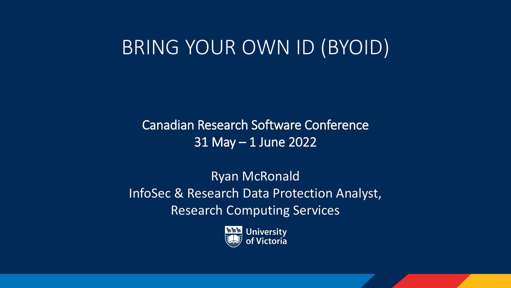# BRING YOUR OWN ID (BYOID)

Canadian Research Software Conference 31 May – 1 June 2022

Ryan McRonald InfoSec & Research Data Protection Analyst, Research Computing Services

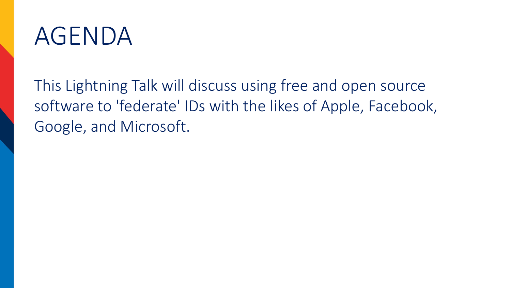

This Lightning Talk will discuss using free and open source software to 'federate' IDs with the likes of Apple, Facebook, Google, and Microsoft.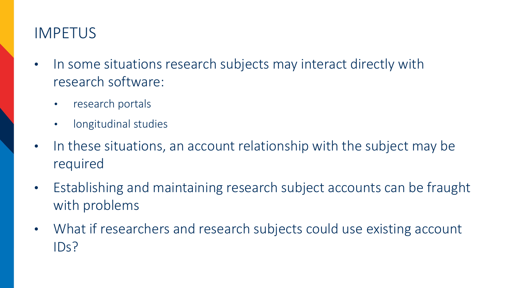# IMPETUS

- In some situations research subjects may interact directly with research software:
	- research portals
	- longitudinal studies
- In these situations, an account relationship with the subject may be required
- Establishing and maintaining research subject accounts can be fraught with problems
- What if researchers and research subjects could use existing account IDs?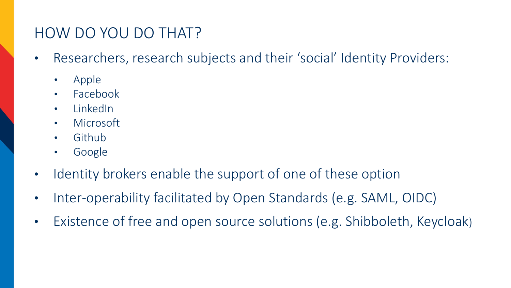# HOW DO YOU DO THAT?

- Researchers, research subjects and their 'social' Identity Providers:
	- Apple
	- Facebook
	- LinkedIn
	- Microsoft
	- Github
	- Google
- Identity brokers enable the support of one of these option
- Inter-operability facilitated by Open Standards (e.g. SAML, OIDC)
- Existence of free and open source solutions (e.g. Shibboleth, Keycloak)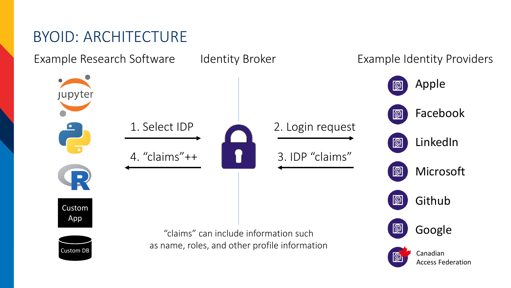# BYOID: ARCHITECTURE

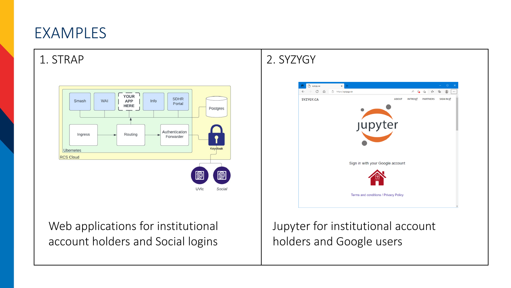# EXAMPLES



### Web applications for institutional account holders and Social logins

Jupyter for institutional account holders and Google users

#### 1. STRAP 2. SYZYGY

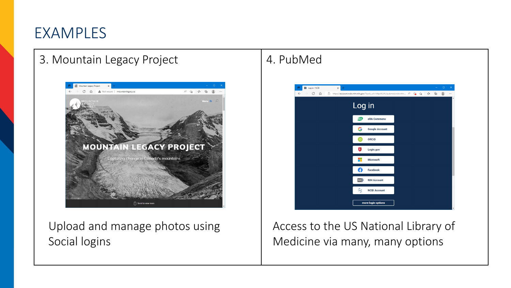## EXAMPLES

#### 3. Mountain Legacy Project | 4. PubMed



Upload and manage photos using Social logins



Access to the US National Library of Medicine via many, many options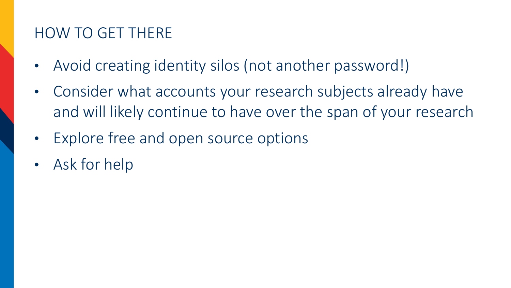# HOW TO GET THERE

- Avoid creating identity silos (not another password!)
- Consider what accounts your research subjects already have and will likely continue to have over the span of your research
- Explore free and open source options
- Ask for help